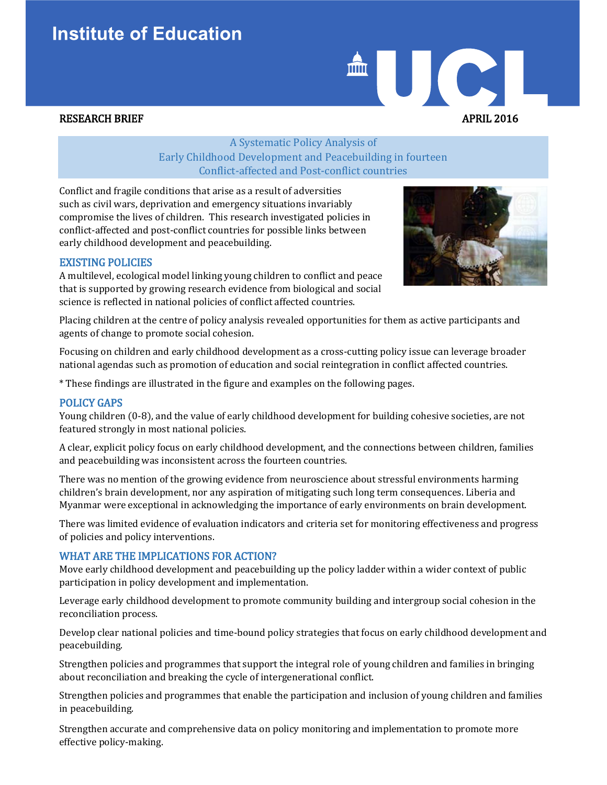# **Institute of Education**

# AUC. RESEARCH BRIEF APRIL 2016

A Systematic Policy Analysis of Early Childhood Development and Peacebuilding in fourteen Conflict-affected and Post-conflict countries

Conflict and fragile conditions that arise as a result of adversities such as civil wars, deprivation and emergency situations invariably compromise the lives of children. This research investigated policies in conflict-affected and post-conflict countries for possible links between early childhood development and peacebuilding.

#### EXISTING POLICIES

A multilevel, ecological model linking young children to conflict and peace that is supported by growing research evidence from biological and social science is reflected in national policies of conflict affected countries.



Placing children at the centre of policy analysis revealed opportunities for them as active participants and agents of change to promote social cohesion.

Focusing on children and early childhood development as a cross-cutting policy issue can leverage broader national agendas such as promotion of education and social reintegration in conflict affected countries.

\* These findings are illustrated in the figure and examples on the following pages.

#### POLICY GAPS

Young children (0-8), and the value of early childhood development for building cohesive societies, are not featured strongly in most national policies.

A clear, explicit policy focus on early childhood development, and the connections between children, families and peacebuilding was inconsistent across the fourteen countries.

There was no mention of the growing evidence from neuroscience about stressful environments harming children's brain development, nor any aspiration of mitigating such long term consequences. Liberia and Myanmar were exceptional in acknowledging the importance of early environments on brain development.

There was limited evidence of evaluation indicators and criteria set for monitoring effectiveness and progress of policies and policy interventions.

#### WHAT ARE THE IMPLICATIONS FOR ACTION?

Move early childhood development and peacebuilding up the policy ladder within a wider context of public participation in policy development and implementation.

Leverage early childhood development to promote community building and intergroup social cohesion in the reconciliation process.

Develop clear national policies and time-bound policy strategies that focus on early childhood development and peacebuilding.

Strengthen policies and programmes that support the integral role of young children and families in bringing about reconciliation and breaking the cycle of intergenerational conflict.

Strengthen policies and programmes that enable the participation and inclusion of young children and families in peacebuilding.

Strengthen accurate and comprehensive data on policy monitoring and implementation to promote more effective policy-making.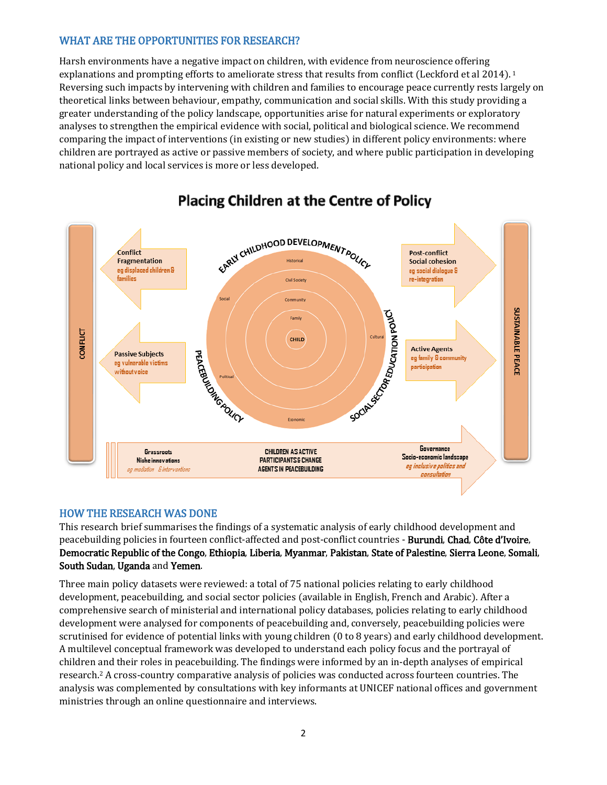### WHAT ARE THE OPPORTUNITIES FOR RESEARCH?

Harsh environments have a negative impact on children, with evidence from neuroscience offering explanations and prompting efforts to ameliorate stress that results from conflict (Leckford et al 2014).<sup>1</sup> Reversing such impacts by intervening with children and families to encourage peace currently rests largely on theoretical links between behaviour, empathy, communication and social skills. With this study providing a greater understanding of the policy landscape, opportunities arise for natural experiments or exploratory analyses to strengthen the empirical evidence with social, political and biological science. We recommend comparing the impact of interventions (in existing or new studies) in different policy environments: where children are portrayed as active or passive members of society, and where public participation in developing national policy and local services is more or less developed.



## **Placing Children at the Centre of Policy**

#### HOW THE RESEARCH WAS DONE

This research brief summarises the findings of a systematic analysis of early childhood development and peacebuilding policies in fourteen conflict-affected and post-conflict countries - Burundi, Chad, Côte d'Ivoire, Democratic Republic of the Congo, Ethiopia, Liberia, Myanmar, Pakistan, State of Palestine, Sierra Leone, Somali, South Sudan, Uganda and Yemen.

Three main policy datasets were reviewed: a total of 75 national policies relating to early childhood development, peacebuilding, and social sector policies (available in English, French and Arabic). After a comprehensive search of ministerial and international policy databases, policies relating to early childhood development were analysed for components of peacebuilding and, conversely, peacebuilding policies were scrutinised for evidence of potential links with young children (0 to 8 years) and early childhood development. A multilevel conceptual framework was developed to understand each policy focus and the portrayal of children and their roles in peacebuilding. The findings were informed by an in-depth analyses of empirical research.2 A cross-country comparative analysis of policies was conducted across fourteen countries. The analysis was complemented by consultations with key informants at UNICEF national offices and government ministries through an online questionnaire and interviews.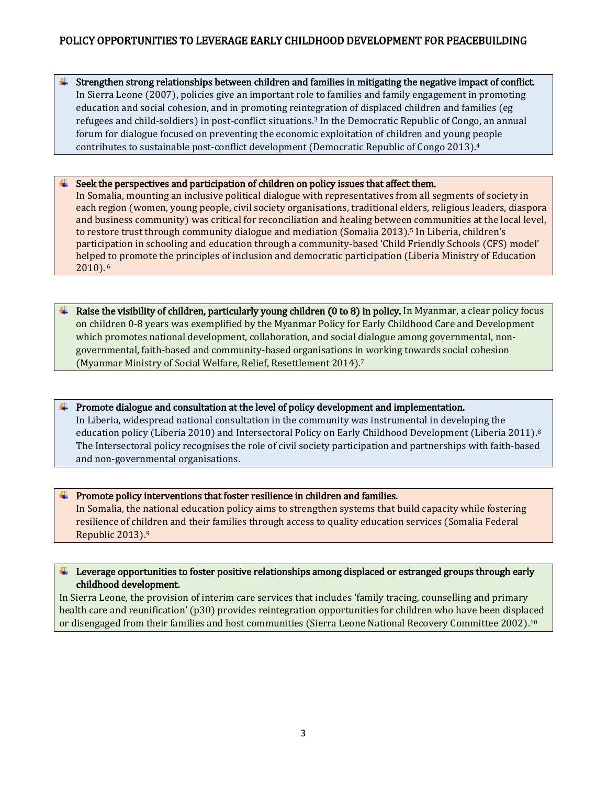### POLICY OPPORTUNITIES TO LEVERAGE EARLY CHILDHOOD DEVELOPMENT FOR PEACEBUILDING

Strengthen strong relationships between children and families in mitigating the negative impact of conflict. In Sierra Leone (2007), policies give an important role to families and family engagement in promoting education and social cohesion, and in promoting reintegration of displaced children and families (eg refugees and child-soldiers) in post-conflict situations. <sup>3</sup> In the Democratic Republic of Congo, an annual forum for dialogue focused on preventing the economic exploitation of children and young people contributes to sustainable post-conflict development (Democratic Republic of Congo 2013).4

#### Seek the perspectives and participation of children on policy issues that affect them.

In Somalia, mounting an inclusive political dialogue with representatives from all segments of society in each region (women, young people, civil society organisations, traditional elders, religious leaders, diaspora and business community) was critical for reconciliation and healing between communities at the local level, to restore trust through community dialogue and mediation (Somalia 2013).<sup>5</sup> In Liberia, children's participation in schooling and education through a community-based 'Child Friendly Schools (CFS) model' helped to promote the principles of inclusion and democratic participation (Liberia Ministry of Education 2010). <sup>6</sup>

Raise the visibility of children, particularly young children (0 to 8) in policy. In Myanmar, a clear policy focus on children 0-8 years was exemplified by the Myanmar Policy for Early Childhood Care and Development which promotes national development, collaboration, and social dialogue among governmental, nongovernmental, faith-based and community-based organisations in working towards social cohesion (Myanmar Ministry of Social Welfare, Relief, Resettlement 2014).7

#### Promote dialogue and consultation at the level of policy development and implementation.

In Liberia, widespread national consultation in the community was instrumental in developing the education policy (Liberia 2010) and Intersectoral Policy on Early Childhood Development (Liberia 2011).8 The Intersectoral policy recognises the role of civil society participation and partnerships with faith-based and non-governmental organisations.

#### $\Box$  Promote policy interventions that foster resilience in children and families.

In Somalia, the national education policy aims to strengthen systems that build capacity while fostering resilience of children and their families through access to quality education services (Somalia Federal Republic 2013).9

#### $\Box$  Leverage opportunities to foster positive relationships among displaced or estranged groups through early childhood development.

In Sierra Leone, the provision of interim care services that includes 'family tracing, counselling and primary health care and reunification' (p30) provides reintegration opportunities for children who have been displaced or disengaged from their families and host communities (Sierra Leone National Recovery Committee 2002). 10